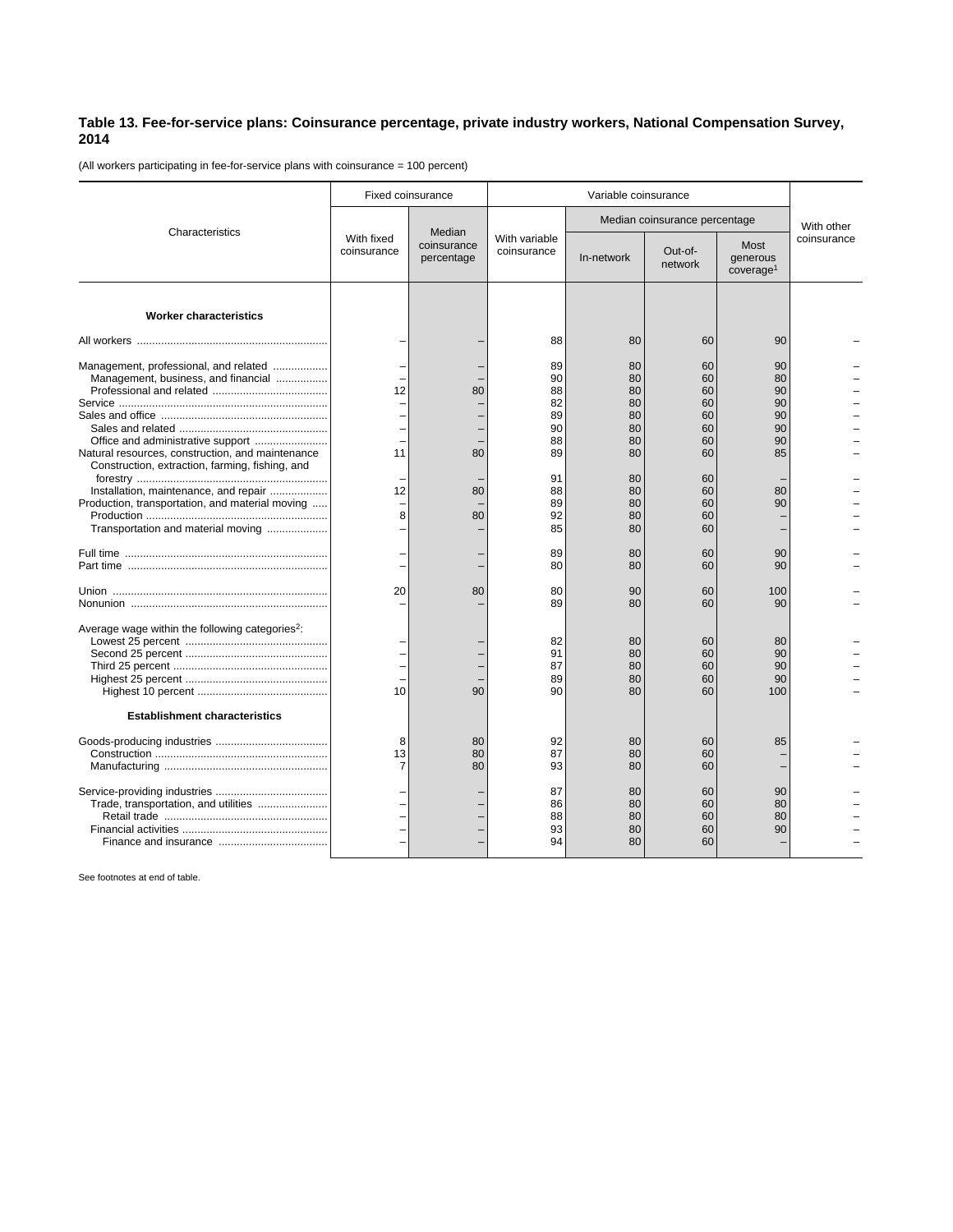## **Table 13. Fee-for-service plans: Coinsurance percentage, private industry workers, National Compensation Survey, 2014**

(All workers participating in fee-for-service plans with coinsurance = 100 percent)

| Characteristics                                                                                     | <b>Fixed coinsurance</b>  |                                     | Variable coinsurance         |                               |                            |                                           |             |
|-----------------------------------------------------------------------------------------------------|---------------------------|-------------------------------------|------------------------------|-------------------------------|----------------------------|-------------------------------------------|-------------|
|                                                                                                     | With fixed<br>coinsurance | Median<br>coinsurance<br>percentage | With variable<br>coinsurance | Median coinsurance percentage |                            |                                           | With other  |
|                                                                                                     |                           |                                     |                              | In-network                    | Out-of-<br>network         | Most<br>generous<br>coverage <sup>1</sup> | coinsurance |
| <b>Worker characteristics</b>                                                                       |                           |                                     |                              |                               |                            |                                           |             |
|                                                                                                     |                           |                                     | 88                           | 80                            | 60                         | 90                                        |             |
| Management, professional, and related<br>Management, business, and financial                        | 12                        | 80                                  | 89<br>90<br>88<br>82<br>89   | 80<br>80<br>80<br>80<br>80    | 60<br>60<br>60<br>60<br>60 | 90<br>80<br>90<br>90<br>90                |             |
|                                                                                                     |                           |                                     | 90                           | 80                            | 60                         | 90                                        |             |
| Natural resources, construction, and maintenance<br>Construction, extraction, farming, fishing, and | 11                        | 80                                  | 88<br>89                     | 80<br>80                      | 60<br>60                   | 90<br>85                                  |             |
|                                                                                                     | 12                        | 80                                  | 91<br>88                     | 80<br>80                      | 60<br>60                   | 80                                        |             |
| Installation, maintenance, and repair<br>Production, transportation, and material moving            | 8                         | 80                                  | 89<br>92                     | 80<br>80                      | 60<br>60                   | 90                                        |             |
| Transportation and material moving                                                                  |                           |                                     | 85                           | 80                            | 60                         |                                           |             |
|                                                                                                     |                           |                                     | 89<br>80                     | 80<br>80                      | 60<br>60                   | 90<br>90                                  |             |
|                                                                                                     | 20                        | 80                                  | 80<br>89                     | 90<br>80                      | 60<br>60                   | 100<br>90                                 |             |
| Average wage within the following categories <sup>2</sup> :                                         |                           |                                     | 82<br>91<br>87<br>89         | 80<br>80<br>80<br>80          | 60<br>60<br>60<br>60       | 80<br>90<br>90<br>90                      |             |
| <b>Establishment characteristics</b>                                                                | 10                        | 90                                  | 90                           | 80                            | 60                         | 100                                       |             |
|                                                                                                     | 8<br>13<br>7              | 80<br>80<br>80                      | 92<br>87<br>93               | 80<br>80<br>80                | 60<br>60<br>60             | 85                                        |             |
|                                                                                                     |                           |                                     | 87<br>86<br>88<br>93<br>94   | 80<br>80<br>80<br>80<br>80    | 60<br>60<br>60<br>60<br>60 | 90<br>80<br>80<br>90                      |             |

See footnotes at end of table.